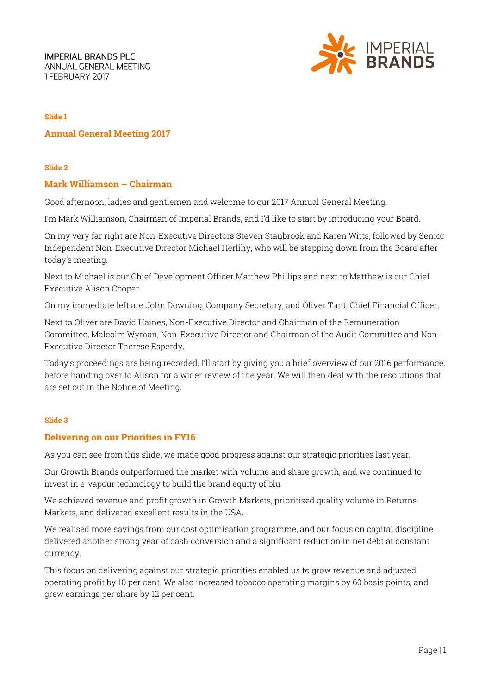**IMPERIAL BRANDS PLC** ANNUAL GENERAL MEETING 1FEBRUARY 2017



### **Slide 1**

# **Annual General Meeting 2017**

**Slide 2**

### **Mark Williamson – Chairman**

Good afternoon, ladies and gentlemen and welcome to our 2017 Annual General Meeting.

I'm Mark Williamson, Chairman of Imperial Brands, and I'd like to start by introducing your Board.

On my very far right are Non-Executive Directors Steven Stanbrook and Karen Witts, followed by Senior Independent Non-Executive Director Michael Herlihy, who will be stepping down from the Board after today's meeting.

Next to Michael is our Chief Development Officer Matthew Phillips and next to Matthew is our Chief Executive Alison Cooper.

On my immediate left are John Downing, Company Secretary, and Oliver Tant, Chief Financial Officer.

Next to Oliver are David Haines, Non-Executive Director and Chairman of the Remuneration Committee, Malcolm Wyman, Non-Executive Director and Chairman of the Audit Committee and Non-Executive Director Therese Esperdy.

Today's proceedings are being recorded. I'll start by giving you a brief overview of our 2016 performance, before handing over to Alison for a wider review of the year. We will then deal with the resolutions that are set out in the Notice of Meeting.

### **Slide 3**

## **Delivering on our Priorities in FY16**

As you can see from this slide, we made good progress against our strategic priorities last year.

Our Growth Brands outperformed the market with volume and share growth, and we continued to invest in e-vapour technology to build the brand equity of blu.

We achieved revenue and profit growth in Growth Markets, prioritised quality volume in Returns Markets, and delivered excellent results in the USA.

We realised more savings from our cost optimisation programme, and our focus on capital discipline delivered another strong year of cash conversion and a significant reduction in net debt at constant currency.

This focus on delivering against our strategic priorities enabled us to grow revenue and adjusted operating profit by 10 per cent. We also increased tobacco operating margins by 60 basis points, and grew earnings per share by 12 per cent.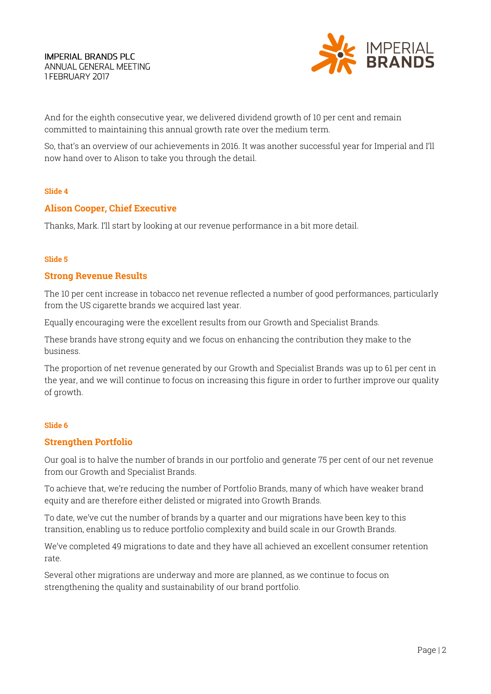

And for the eighth consecutive year, we delivered dividend growth of 10 per cent and remain committed to maintaining this annual growth rate over the medium term.

So, that's an overview of our achievements in 2016. It was another successful year for Imperial and I'll now hand over to Alison to take you through the detail.

#### **Slide 4**

## **Alison Cooper, Chief Executive**

Thanks, Mark. I'll start by looking at our revenue performance in a bit more detail.

#### **Slide 5**

### **Strong Revenue Results**

The 10 per cent increase in tobacco net revenue reflected a number of good performances, particularly from the US cigarette brands we acquired last year.

Equally encouraging were the excellent results from our Growth and Specialist Brands.

These brands have strong equity and we focus on enhancing the contribution they make to the business.

The proportion of net revenue generated by our Growth and Specialist Brands was up to 61 per cent in the year, and we will continue to focus on increasing this figure in order to further improve our quality of growth.

#### **Slide 6**

#### **Strengthen Portfolio**

Our goal is to halve the number of brands in our portfolio and generate 75 per cent of our net revenue from our Growth and Specialist Brands.

To achieve that, we're reducing the number of Portfolio Brands, many of which have weaker brand equity and are therefore either delisted or migrated into Growth Brands.

To date, we've cut the number of brands by a quarter and our migrations have been key to this transition, enabling us to reduce portfolio complexity and build scale in our Growth Brands.

We've completed 49 migrations to date and they have all achieved an excellent consumer retention rate.

Several other migrations are underway and more are planned, as we continue to focus on strengthening the quality and sustainability of our brand portfolio.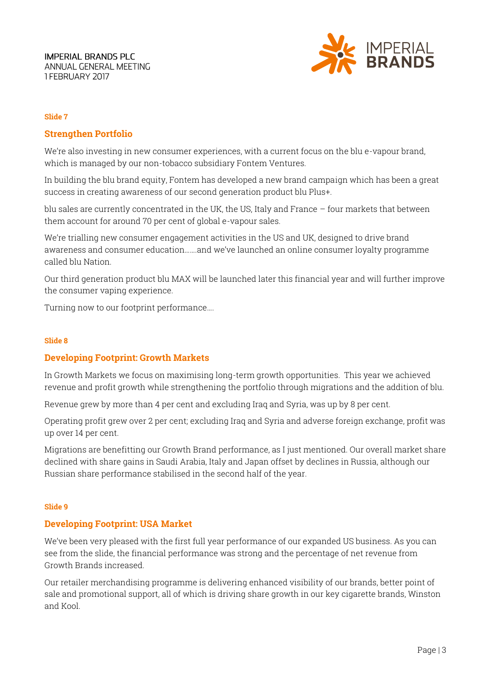

### **Slide 7**

# **Strengthen Portfolio**

We're also investing in new consumer experiences, with a current focus on the blu e-vapour brand, which is managed by our non-tobacco subsidiary Fontem Ventures.

In building the blu brand equity, Fontem has developed a new brand campaign which has been a great success in creating awareness of our second generation product blu Plus+.

blu sales are currently concentrated in the UK, the US, Italy and France – four markets that between them account for around 70 per cent of global e-vapour sales.

We're trialling new consumer engagement activities in the US and UK, designed to drive brand awareness and consumer education…….and we've launched an online consumer loyalty programme called blu Nation.

Our third generation product blu MAX will be launched later this financial year and will further improve the consumer vaping experience.

Turning now to our footprint performance….

#### **Slide 8**

## **Developing Footprint: Growth Markets**

In Growth Markets we focus on maximising long-term growth opportunities. This year we achieved revenue and profit growth while strengthening the portfolio through migrations and the addition of blu.

Revenue grew by more than 4 per cent and excluding Iraq and Syria, was up by 8 per cent.

Operating profit grew over 2 per cent; excluding Iraq and Syria and adverse foreign exchange, profit was up over 14 per cent.

Migrations are benefitting our Growth Brand performance, as I just mentioned. Our overall market share declined with share gains in Saudi Arabia, Italy and Japan offset by declines in Russia, although our Russian share performance stabilised in the second half of the year.

#### **Slide 9**

## **Developing Footprint: USA Market**

We've been very pleased with the first full year performance of our expanded US business. As you can see from the slide, the financial performance was strong and the percentage of net revenue from Growth Brands increased.

Our retailer merchandising programme is delivering enhanced visibility of our brands, better point of sale and promotional support, all of which is driving share growth in our key cigarette brands, Winston and Kool.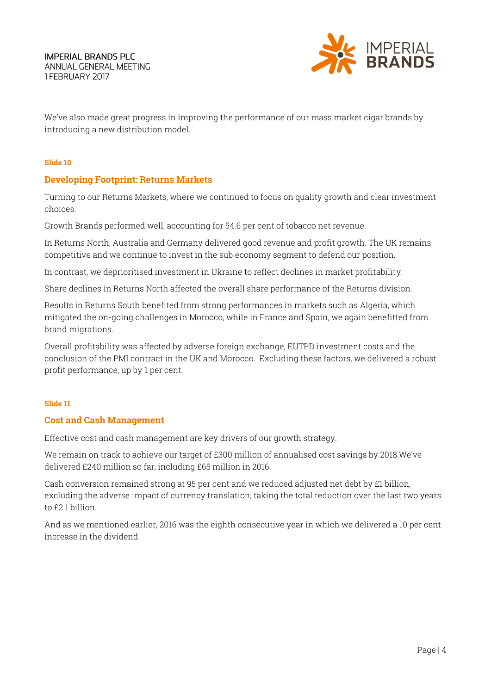

We've also made great progress in improving the performance of our mass market cigar brands by introducing a new distribution model.

### **Slide 10**

# **Developing Footprint: Returns Markets**

Turning to our Returns Markets, where we continued to focus on quality growth and clear investment choices.

Growth Brands performed well, accounting for 54.6 per cent of tobacco net revenue.

In Returns North, Australia and Germany delivered good revenue and profit growth. The UK remains competitive and we continue to invest in the sub economy segment to defend our position.

In contrast, we deprioritised investment in Ukraine to reflect declines in market profitability.

Share declines in Returns North affected the overall share performance of the Returns division.

Results in Returns South benefited from strong performances in markets such as Algeria, which mitigated the on-going challenges in Morocco, while in France and Spain, we again benefitted from brand migrations.

Overall profitability was affected by adverse foreign exchange, EUTPD investment costs and the conclusion of the PMI contract in the UK and Morocco. Excluding these factors, we delivered a robust profit performance, up by 1 per cent.

#### **Slide 11**

## **Cost and Cash Management**

Effective cost and cash management are key drivers of our growth strategy.

We remain on track to achieve our target of £300 million of annualised cost savings by 2018.We've delivered £240 million so far, including £65 million in 2016.

Cash conversion remained strong at 95 per cent and we reduced adjusted net debt by £1 billion, excluding the adverse impact of currency translation, taking the total reduction over the last two years to £2.1 billion.

And as we mentioned earlier, 2016 was the eighth consecutive year in which we delivered a 10 per cent increase in the dividend.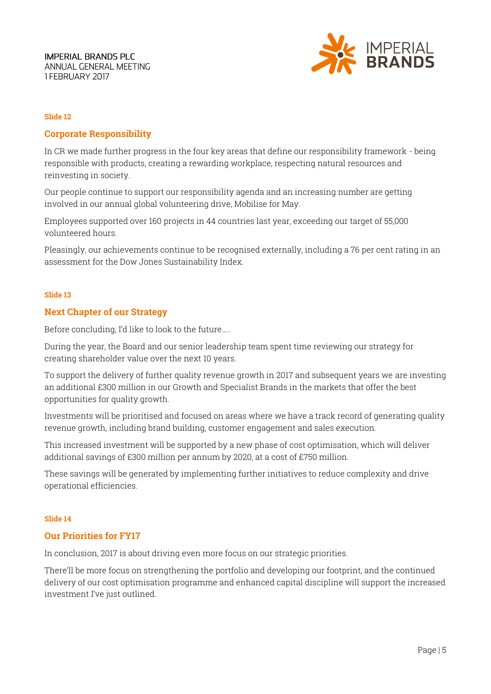

### **Slide 12**

## **Corporate Responsibility**

In CR we made further progress in the four key areas that define our responsibility framework - being responsible with products, creating a rewarding workplace, respecting natural resources and reinvesting in society.

Our people continue to support our responsibility agenda and an increasing number are getting involved in our annual global volunteering drive, Mobilise for May.

Employees supported over 160 projects in 44 countries last year, exceeding our target of 55,000 volunteered hours.

Pleasingly, our achievements continue to be recognised externally, including a 76 per cent rating in an assessment for the Dow Jones Sustainability Index.

#### **Slide 13**

#### **Next Chapter of our Strategy**

Before concluding, I'd like to look to the future…..

During the year, the Board and our senior leadership team spent time reviewing our strategy for creating shareholder value over the next 10 years.

To support the delivery of further quality revenue growth in 2017 and subsequent years we are investing an additional £300 million in our Growth and Specialist Brands in the markets that offer the best opportunities for quality growth.

Investments will be prioritised and focused on areas where we have a track record of generating quality revenue growth, including brand building, customer engagement and sales execution.

This increased investment will be supported by a new phase of cost optimisation, which will deliver additional savings of £300 million per annum by 2020, at a cost of £750 million.

These savings will be generated by implementing further initiatives to reduce complexity and drive operational efficiencies.

#### **Slide 14**

#### **Our Priorities for FY17**

In conclusion, 2017 is about driving even more focus on our strategic priorities.

There'll be more focus on strengthening the portfolio and developing our footprint, and the continued delivery of our cost optimisation programme and enhanced capital discipline will support the increased investment I've just outlined.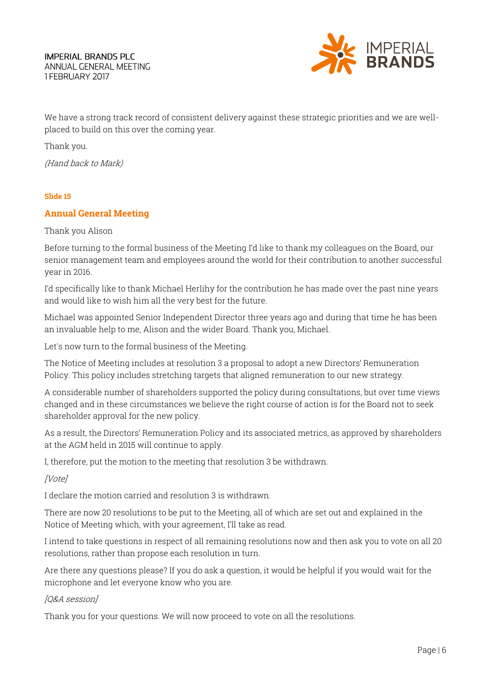

We have a strong track record of consistent delivery against these strategic priorities and we are wellplaced to build on this over the coming year.

Thank you.

(Hand back to Mark)

## **Slide 15**

# **Annual General Meeting**

## Thank you Alison

Before turning to the formal business of the Meeting I'd like to thank my colleagues on the Board, our senior management team and employees around the world for their contribution to another successful year in 2016.

I'd specifically like to thank Michael Herlihy for the contribution he has made over the past nine years and would like to wish him all the very best for the future.

Michael was appointed Senior Independent Director three years ago and during that time he has been an invaluable help to me, Alison and the wider Board. Thank you, Michael.

Let's now turn to the formal business of the Meeting.

The Notice of Meeting includes at resolution 3 a proposal to adopt a new Directors' Remuneration Policy. This policy includes stretching targets that aligned remuneration to our new strategy.

A considerable number of shareholders supported the policy during consultations, but over time views changed and in these circumstances we believe the right course of action is for the Board not to seek shareholder approval for the new policy.

As a result, the Directors' Remuneration Policy and its associated metrics, as approved by shareholders at the AGM held in 2015 will continue to apply.

I, therefore, put the motion to the meeting that resolution 3 be withdrawn.

[Vote]

I declare the motion carried and resolution 3 is withdrawn.

There are now 20 resolutions to be put to the Meeting, all of which are set out and explained in the Notice of Meeting which, with your agreement, I'll take as read.

I intend to take questions in respect of all remaining resolutions now and then ask you to vote on all 20 resolutions, rather than propose each resolution in turn.

Are there any questions please? If you do ask a question, it would be helpful if you would wait for the microphone and let everyone know who you are.

## [Q&A session]

Thank you for your questions. We will now proceed to vote on all the resolutions.